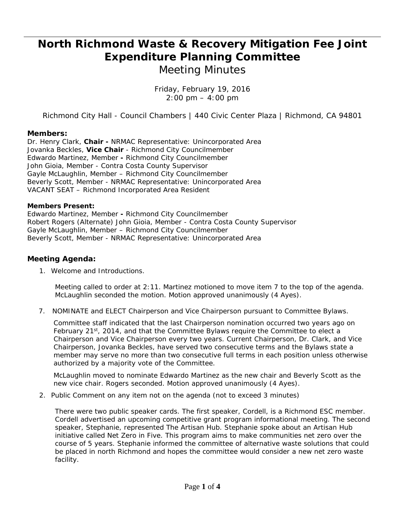## **North Richmond Waste & Recovery Mitigation Fee Joint Expenditure Planning Committee**

*Meeting Minutes* 

 *Friday, February 19, 2016 2:00 pm – 4:00 pm* 

Richmond City Hall - Council Chambers | 440 Civic Center Plaza | Richmond, CA 94801

## **Members:**

Dr. Henry Clark, **Chair -** NRMAC Representative: Unincorporated Area Jovanka Beckles, **Vice Chair** - Richmond City Councilmember Edwardo Martinez, Member **-** Richmond City Councilmember John Gioia, Member - Contra Costa County Supervisor Gayle McLaughlin, Member – Richmond City Councilmember Beverly Scott, Member - NRMAC Representative: Unincorporated Area VACANT SEAT – Richmond Incorporated Area Resident

## **Members Present:**

Edwardo Martinez, Member **-** Richmond City Councilmember Robert Rogers (Alternate) John Gioia, Member - Contra Costa County Supervisor Gayle McLaughlin, Member – Richmond City Councilmember Beverly Scott, Member - NRMAC Representative: Unincorporated Area

## **Meeting Agenda:**

1. Welcome and Introductions.

Meeting called to order at 2:11. Martinez motioned to move item 7 to the top of the agenda. McLaughlin seconded the motion. Motion approved unanimously *(4 Ayes)*.

7. *NOMINATE and ELECT Chairperson and Vice Chairperson pursuant to Committee Bylaws.* 

Committee staff indicated that the last Chairperson nomination occurred two years ago on February 21<sup>st</sup>, 2014, and that the Committee Bylaws require the Committee to elect a Chairperson and Vice Chairperson every two years. Current Chairperson, Dr. Clark, and Vice Chairperson, Jovanka Beckles, have served two consecutive terms and the Bylaws state a member may serve no more than two consecutive full terms in each position unless otherwise authorized by a majority vote of the Committee.

McLaughlin moved to nominate Edwardo Martinez as the new chair and Beverly Scott as the new vice chair. Rogers seconded. Motion approved unanimously *(4 Ayes)*.

*2.* Public Comment on any item not on the agenda *(not to exceed 3 minutes)* 

There were two public speaker cards. The first speaker, Cordell, is a Richmond ESC member. Cordell advertised an upcoming competitive grant program informational meeting. The second speaker, Stephanie, represented The Artisan Hub. Stephanie spoke about an Artisan Hub initiative called Net Zero in Five. This program aims to make communities net zero over the course of 5 years. Stephanie informed the committee of alternative waste solutions that could be placed in north Richmond and hopes the committee would consider a new net zero waste facility.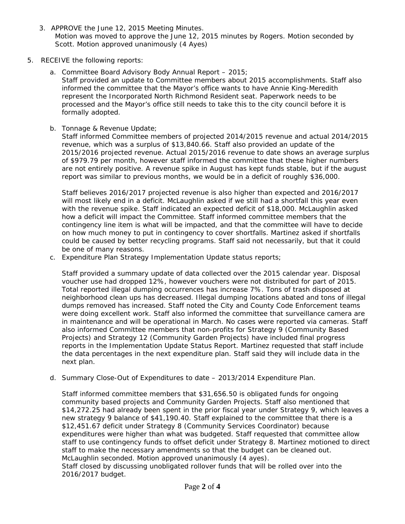- 3. *APPROVE* the June 12, 2015 Meeting Minutes. Motion was moved to approve the June 12, 2015 minutes by Rogers. Motion seconded by Scott. Motion approved unanimously *(4 Ayes)*
- 5. *RECEIVE* the following reports:
	- a. Committee Board Advisory Body Annual Report 2015; Staff provided an update to Committee members about 2015 accomplishments. Staff also informed the committee that the Mayor's office wants to have Annie King-Meredith represent the Incorporated North Richmond Resident seat. Paperwork needs to be processed and the Mayor's office still needs to take this to the city council before it is formally adopted.
	- b. Tonnage & Revenue Update;

Staff informed Committee members of projected 2014/2015 revenue and actual 2014/2015 revenue, which was a surplus of \$13,840.66. Staff also provided an update of the 2015/2016 projected revenue. Actual 2015/2016 revenue to date shows an average surplus of \$979.79 per month, however staff informed the committee that these higher numbers are not entirely positive. A revenue spike in August has kept funds stable, but if the august report was similar to previous months, we would be in a deficit of roughly \$36,000.

Staff believes 2016/2017 projected revenue is also higher than expected and 2016/2017 will most likely end in a deficit. McLaughlin asked if we still had a shortfall this year even with the revenue spike. Staff indicated an expected deficit of \$18,000. McLaughlin asked how a deficit will impact the Committee. Staff informed committee members that the contingency line item is what will be impacted, and that the committee will have to decide on how much money to put in contingency to cover shortfalls. Martinez asked if shortfalls could be caused by better recycling programs. Staff said not necessarily, but that it could be one of many reasons.

c. Expenditure Plan Strategy Implementation Update status reports;

Staff provided a summary update of data collected over the 2015 calendar year. Disposal voucher use had dropped 12%, however vouchers were not distributed for part of 2015. Total reported illegal dumping occurrences has increase 7%. Tons of trash disposed at neighborhood clean ups has decreased. Illegal dumping locations abated and tons of illegal dumps removed has increased. Staff noted the City and County Code Enforcement teams were doing excellent work. Staff also informed the committee that surveillance camera are in maintenance and will be operational in March. No cases were reported via cameras. Staff also informed Committee members that non-profits for Strategy 9 (Community Based Projects) and Strategy 12 (Community Garden Projects) have included final progress reports in the Implementation Update Status Report. Martinez requested that staff include the data percentages in the next expenditure plan. Staff said they will include data in the next plan.

d. Summary Close-Out of Expenditures to date – 2013/2014 Expenditure Plan.

Staff informed committee members that \$31,656.50 is obligated funds for ongoing community based projects and Community Garden Projects. Staff also mentioned that \$14,272.25 had already been spent in the prior fiscal year under Strategy 9, which leaves a new strategy 9 balance of \$41,190.40. Staff explained to the committee that there is a \$12,451.67 deficit under Strategy 8 (Community Services Coordinator) because expenditures were higher than what was budgeted. Staff requested that committee allow staff to use contingency funds to offset deficit under Strategy 8. Martinez motioned to direct staff to make the necessary amendments so that the budget can be cleaned out. McLaughlin seconded. Motion approved unanimously *(4 ayes)*. Staff closed by discussing unobligated rollover funds that will be rolled over into the 2016/2017 budget.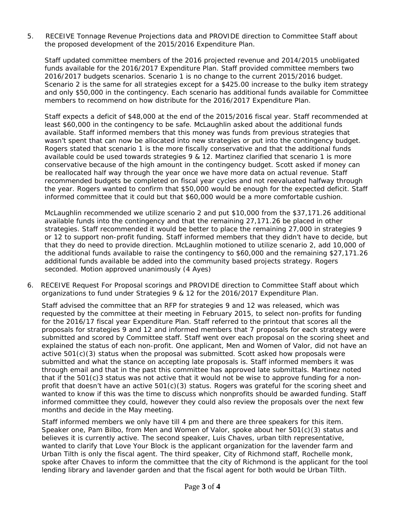5. *RECEIVE Tonnage Revenue Projections data and PROVIDE* direction to Committee Staff about the proposed development of the 2015/2016 Expenditure Plan.

Staff updated committee members of the 2016 projected revenue and 2014/2015 unobligated funds available for the 2016/2017 Expenditure Plan. Staff provided committee members two 2016/2017 budgets scenarios. Scenario 1 is no change to the current 2015/2016 budget. Scenario 2 is the same for all strategies except for a \$425.00 increase to the bulky item strategy and only \$50,000 in the contingency. Each scenario has additional funds available for Committee members to recommend on how distribute for the 2016/2017 Expenditure Plan.

Staff expects a deficit of \$48,000 at the end of the 2015/2016 fiscal year. Staff recommended at least \$60,000 in the contingency to be safe. McLaughlin asked about the additional funds available. Staff informed members that this money was funds from previous strategies that wasn't spent that can now be allocated into new strategies or put into the contingency budget. Rogers stated that scenario 1 is the more fiscally conservative and that the additional funds available could be used towards strategies 9 & 12. Martinez clarified that scenario 1 is more conservative because of the high amount in the contingency budget. Scott asked if money can be reallocated half way through the year once we have more data on actual revenue. Staff recommended budgets be completed on fiscal year cycles and not reevaluated halfway through the year. Rogers wanted to confirm that \$50,000 would be enough for the expected deficit. Staff informed committee that it could but that \$60,000 would be a more comfortable cushion.

McLaughlin recommended we utilize scenario 2 and put \$10,000 from the \$37,171.26 additional available funds into the contingency and that the remaining 27,171.26 be placed in other strategies. Staff recommended it would be better to place the remaining 27,000 in strategies 9 or 12 to support non-profit funding. Staff informed members that they didn't have to decide, but that they do need to provide direction. McLaughlin motioned to utilize scenario 2, add 10,000 of the additional funds available to raise the contingency to \$60,000 and the remaining \$27,171.26 additional funds available be added into the community based projects strategy. Rogers seconded. Motion approved unanimously *(4 Ayes)*

6. *RECEIVE* Request For Proposal scorings and *PROVIDE* direction to Committee Staff about which organizations to fund under Strategies 9 & 12 for the 2016/2017 Expenditure Plan.

Staff advised the committee that an RFP for strategies 9 and 12 was released, which was requested by the committee at their meeting in February 2015, to select non-profits for funding for the 2016/17 fiscal year Expenditure Plan. Staff referred to the printout that scores all the proposals for strategies 9 and 12 and informed members that 7 proposals for each strategy were submitted and scored by Committee staff. Staff went over each proposal on the scoring sheet and explained the status of each non-profit. One applicant, Men and Women of Valor, did not have an active  $501(c)(3)$  status when the proposal was submitted. Scott asked how proposals were submitted and what the stance on accepting late proposals is. Staff informed members it was through email and that in the past this committee has approved late submittals. Martinez noted that if the 501(c)3 status was not active that it would not be wise to approve funding for a nonprofit that doesn't have an active 501(c)(3) status. Rogers was grateful for the scoring sheet and wanted to know if this was the time to discuss which nonprofits should be awarded funding. Staff informed committee they could, however they could also review the proposals over the next few months and decide in the May meeting.

Staff informed members we only have till 4 pm and there are three speakers for this item. Speaker one, Pam Bilbo, from Men and Women of Valor, spoke about her 501(c)(3) status and believes it is currently active. The second speaker, Luis Chaves, urban tilth representative, wanted to clarify that Love Your Block is the applicant organization for the lavender farm and Urban Tilth is only the fiscal agent. The third speaker, City of Richmond staff, Rochelle monk, spoke after Chaves to inform the committee that the city of Richmond is the applicant for the tool lending library and lavender garden and that the fiscal agent for both would be Urban Tilth.